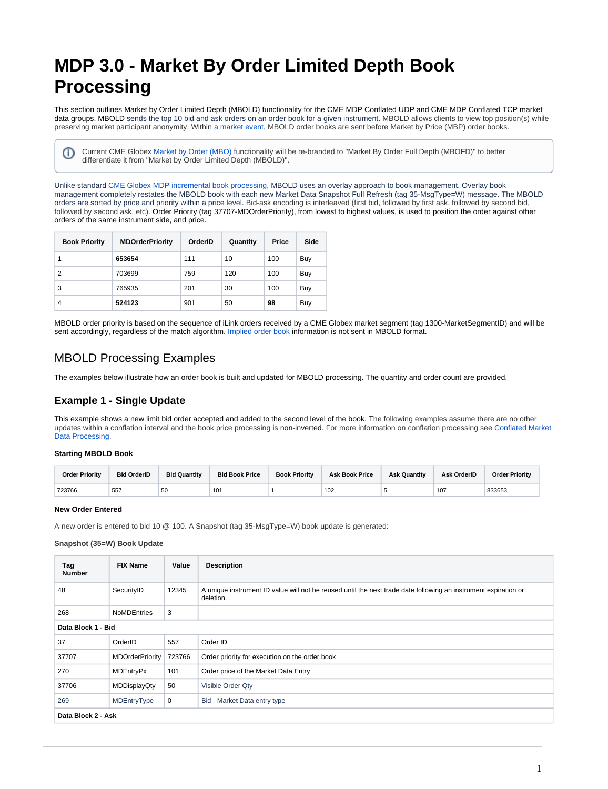# <span id="page-0-0"></span>**MDP 3.0 - Market By Order Limited Depth Book Processing**

This section outlines Market by Order Limited Depth (MBOLD) functionality for the CME MDP Conflated UDP and CME MDP Conflated TCP market data groups. MBOLD sends the top 10 bid and ask orders on an order book for a given instrument. MBOLD allows clients to view top position(s) while preserving market participant anonymity. Within [a market event](https://www.cmegroup.com/confluence/display/EPICSANDBOX/MDP+3.0+-+Event+Based+Market+Data+Messaging), MBOLD order books are sent before Market by Price (MBP) order books.

Current CME Globex [Market by Order \(MBO\)](https://www.cmegroup.com/confluence/display/EPICSANDBOX/MDP+3.0+-+Market+by+Order+Full+Depth+-+Book+Management) functionality will be re-branded to "Market By Order Full Depth (MBOFD)" to better differentiate it from "Market by Order Limited Depth (MBOLD)".

Unlike standard [CME Globex MDP incremental book processing,](https://www.cmegroup.com/confluence/display/EPICSANDBOX/MDP+3.0+-+Book+Management) MBOLD uses an overlay approach to book management. Overlay book management completely restates the MBOLD book with each new Market Data Snapshot Full Refresh (tag 35-MsgType=W) message. The MBOLD orders are sorted by price and priority within a price level. Bid-ask encoding is interleaved (first bid, followed by first ask, followed by second bid, followed by second ask, etc). Order Priority (tag 37707-MDOrderPriority), from lowest to highest values, is used to position the order against other orders of the same instrument side, and price.

| <b>Book Priority</b> | <b>MDOrderPriority</b> | OrderID | Quantity | Price | Side |
|----------------------|------------------------|---------|----------|-------|------|
|                      | 653654                 | 111     | 10       | 100   | Buy  |
| 2                    | 703699                 | 759     | 120      | 100   | Buy  |
| 3                    | 765935                 | 201     | 30       | 100   | Buy  |
| 4                    | 524123                 | 901     | 50       | 98    | Buy  |

MBOLD order priority is based on the sequence of iLink orders received by a CME Globex market segment (tag 1300-MarketSegmentID) and will be sent accordingly, regardless of the match algorithm. [Implied order book](https://www.cmegroup.com/confluence/display/EPICSANDBOX/MDP+3.0+-+Implied+Book) information is not sent in MBOLD format.

# MBOLD Processing Examples

The examples below illustrate how an order book is built and updated for MBOLD processing. The quantity and order count are provided.

## **Example 1 - Single Update**

This example shows a new limit bid order accepted and added to the second level of the book. The following examples assume there are no other updates within a conflation interval and the book price processing is non-inverted. For more information on conflation processing see [Conflated Market](#page-0-0)  [Data Processing.](#page-0-0)

#### **Starting MBOLD Book**

O)

| <b>Order Priority</b> | <b>Bid OrderID</b> | <b>Bid Quantity</b> | <b>Bid Book Price</b> | <b>Book Priority</b> | <b>Ask Book Price</b> | <b>Ask Quantity</b> | <b>Ask OrderID</b> | <b>Order Priority</b> |
|-----------------------|--------------------|---------------------|-----------------------|----------------------|-----------------------|---------------------|--------------------|-----------------------|
| 723766                | 557                | 50                  | 10 <sup>1</sup>       |                      | 102                   |                     | 107                | 833653                |

#### **New Order Entered**

A new order is entered to bid 10 @ 100. A Snapshot (tag 35-MsgType=W) book update is generated:

| Tag<br><b>Number</b> | <b>FIX Name</b>        | Value  | <b>Description</b>                                                                                                           |
|----------------------|------------------------|--------|------------------------------------------------------------------------------------------------------------------------------|
| 48                   | SecurityID             | 12345  | A unique instrument ID value will not be reused until the next trade date following an instrument expiration or<br>deletion. |
| 268                  | <b>NoMDEntries</b>     | 3      |                                                                                                                              |
| Data Block 1 - Bid   |                        |        |                                                                                                                              |
| 37                   | OrderID                | 557    | Order ID                                                                                                                     |
| 37707                | <b>MDOrderPriority</b> | 723766 | Order priority for execution on the order book                                                                               |
| 270                  | MDEntryPx              | 101    | Order price of the Market Data Entry                                                                                         |
| 37706                | MDDisplayQty           | 50     | Visible Order Qty                                                                                                            |
| 269                  | MDEntryType            | 0      | Bid - Market Data entry type                                                                                                 |
| Data Block 2 - Ask   |                        |        |                                                                                                                              |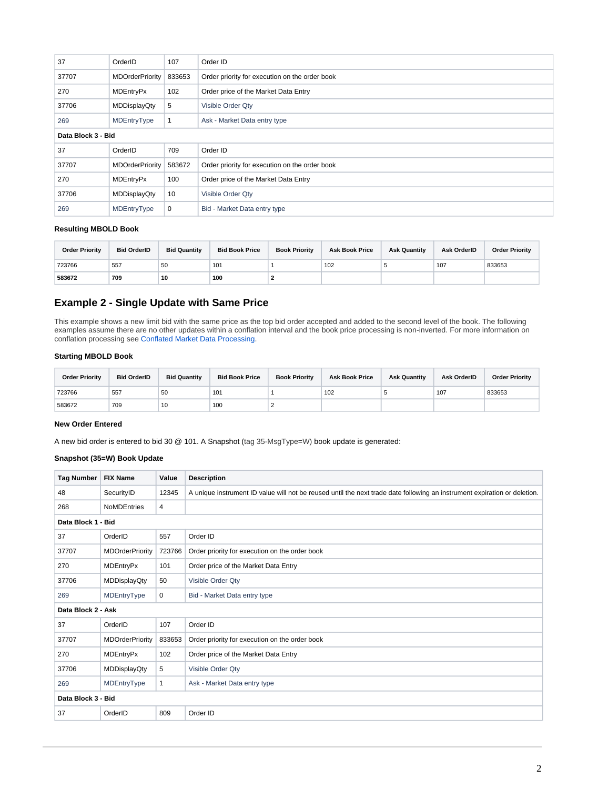| 37                 | OrderID                | 107    | Order ID                                       |
|--------------------|------------------------|--------|------------------------------------------------|
| 37707              | <b>MDOrderPriority</b> | 833653 | Order priority for execution on the order book |
| 270                | <b>MDEntryPx</b>       | 102    | Order price of the Market Data Entry           |
| 37706              | MDDisplayQty           | 5      | Visible Order Qty                              |
| 269                | MDEntryType            |        | Ask - Market Data entry type                   |
| Data Block 3 - Bid |                        |        |                                                |
| 37                 | OrderID                | 709    | Order ID                                       |
| 37707              | <b>MDOrderPriority</b> | 583672 | Order priority for execution on the order book |
| 270                | <b>MDEntryPx</b>       | 100    | Order price of the Market Data Entry           |
| 37706              | MDDisplayQty           | 10     | Visible Order Qty                              |
| 269                | MDEntryType            | 0      | Bid - Market Data entry type                   |

#### **Resulting MBOLD Book**

| <b>Order Priority</b> | <b>Bid OrderID</b> | <b>Bid Quantity</b> | <b>Bid Book Price</b> | <b>Book Priority</b> | <b>Ask Book Price</b> | <b>Ask Quantity</b> | Ask OrderID | <b>Order Priority</b> |
|-----------------------|--------------------|---------------------|-----------------------|----------------------|-----------------------|---------------------|-------------|-----------------------|
| 723766                | 557                | 50                  | 101                   |                      | 102                   |                     | 107         | 833653                |
| 583672                | 709                | 10                  | 100                   |                      |                       |                     |             |                       |

## **Example 2 - Single Update with Same Price**

This example shows a new limit bid with the same price as the top bid order accepted and added to the second level of the book. The following examples assume there are no other updates within a conflation interval and the book price processing is non-inverted. For more information on conflation processing see [Conflated Market Data Processing](#page-0-0).

## **Starting MBOLD Book**

| <b>Order Priority</b> | <b>Bid OrderID</b> | <b>Bid Quantity</b> | <b>Bid Book Price</b> | <b>Book Priority</b> | <b>Ask Book Price</b> | <b>Ask Quantity</b> | Ask OrderID | <b>Order Priority</b> |
|-----------------------|--------------------|---------------------|-----------------------|----------------------|-----------------------|---------------------|-------------|-----------------------|
| 723766                | 557                | 50                  | 101                   |                      | 102                   |                     | 107         | 833653                |
| 583672                | 709                | 10                  | 100                   |                      |                       |                     |             |                       |

## **New Order Entered**

A new bid order is entered to bid 30 @ 101. A Snapshot (tag 35-MsgType=W) book update is generated:

| <b>Tag Number</b>  | <b>FIX Name</b>        | Value  | <b>Description</b>                                                                                                        |
|--------------------|------------------------|--------|---------------------------------------------------------------------------------------------------------------------------|
| 48                 | SecurityID             | 12345  | A unique instrument ID value will not be reused until the next trade date following an instrument expiration or deletion. |
| 268                | <b>NoMDEntries</b>     | 4      |                                                                                                                           |
| Data Block 1 - Bid |                        |        |                                                                                                                           |
| 37                 | OrderID                | 557    | Order ID                                                                                                                  |
| 37707              | <b>MDOrderPriority</b> | 723766 | Order priority for execution on the order book                                                                            |
| 270                | <b>MDEntryPx</b>       | 101    | Order price of the Market Data Entry                                                                                      |
| 37706              | <b>MDDisplayQty</b>    | 50     | Visible Order Qty                                                                                                         |
| 269                | MDEntryType            | 0      | Bid - Market Data entry type                                                                                              |
| Data Block 2 - Ask |                        |        |                                                                                                                           |
| 37                 | OrderID                | 107    | Order ID                                                                                                                  |
| 37707              | <b>MDOrderPriority</b> | 833653 | Order priority for execution on the order book                                                                            |
| 270                | <b>MDEntryPx</b>       | 102    | Order price of the Market Data Entry                                                                                      |
| 37706              | <b>MDDisplayQty</b>    | 5      | Visible Order Qty                                                                                                         |
| 269                | MDEntryType            | 1      | Ask - Market Data entry type                                                                                              |
| Data Block 3 - Bid |                        |        |                                                                                                                           |
| 37                 | OrderID                | 809    | Order ID                                                                                                                  |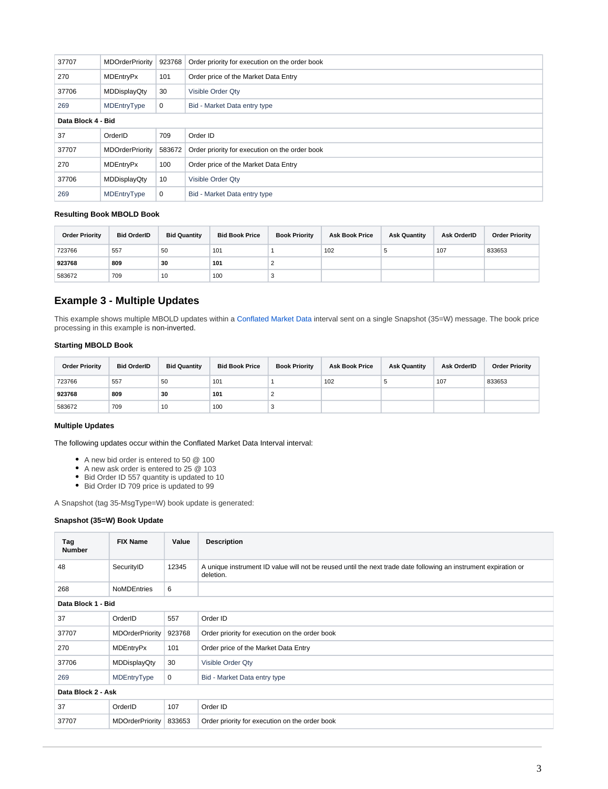| 37707              | <b>MDOrderPriority</b><br>923768<br>Order priority for execution on the order book |        |                                                |  |
|--------------------|------------------------------------------------------------------------------------|--------|------------------------------------------------|--|
| 270                | MDEntryPx                                                                          | 101    | Order price of the Market Data Entry           |  |
| 37706              | MDDisplayQty                                                                       | 30     | Visible Order Qty                              |  |
| 269                | MDEntryType                                                                        | 0      | Bid - Market Data entry type                   |  |
| Data Block 4 - Bid |                                                                                    |        |                                                |  |
| 37                 | OrderID                                                                            | 709    | Order ID                                       |  |
|                    |                                                                                    |        |                                                |  |
| 37707              | <b>MDOrderPriority</b>                                                             | 583672 | Order priority for execution on the order book |  |
| 270                | <b>MDEntryPx</b>                                                                   | 100    | Order price of the Market Data Entry           |  |
| 37706              | MDDisplayQty                                                                       | 10     | Visible Order Qty                              |  |

## **Resulting Book MBOLD Book**

| <b>Order Priority</b> | <b>Bid OrderID</b> | <b>Bid Quantity</b> | <b>Bid Book Price</b> | <b>Book Priority</b> | <b>Ask Book Price</b> | <b>Ask Quantity</b> | Ask OrderID | <b>Order Priority</b> |
|-----------------------|--------------------|---------------------|-----------------------|----------------------|-----------------------|---------------------|-------------|-----------------------|
| 723766                | 557                | 50                  | 101                   |                      | 102                   |                     | 107         | 833653                |
| 923768                | 809                | 30                  | 101                   |                      |                       |                     |             |                       |
| 583672                | 709                | 10                  | 100                   |                      |                       |                     |             |                       |

## **Example 3 - Multiple Updates**

This example shows multiple MBOLD updates within a Conflated Market Data interval sent on a single Snapshot (35=W) message. The book price processing in this example is non-inverted.

## **Starting MBOLD Book**

| <b>Order Priority</b> | <b>Bid OrderID</b> | <b>Bid Quantity</b> | <b>Bid Book Price</b> | <b>Book Priority</b> | <b>Ask Book Price</b> | <b>Ask Quantity</b> | Ask OrderID | <b>Order Priority</b> |
|-----------------------|--------------------|---------------------|-----------------------|----------------------|-----------------------|---------------------|-------------|-----------------------|
| 723766                | 557                | 50                  | 101                   |                      | 102                   |                     | 107         | 833653                |
| 923768                | 809                | 30                  | 101                   | ∼                    |                       |                     |             |                       |
| 583672                | 709                | 10                  | 100                   | ×                    |                       |                     |             |                       |

#### **Multiple Updates**

The following updates occur within the Conflated Market Data Interval interval:

- A new bid order is entered to 50 @ 100
- A new ask order is entered to 25 @ 103
- Bid Order ID 557 quantity is updated to 10
- Bid Order ID 709 price is updated to 99

A Snapshot (tag 35-MsgType=W) book update is generated:

| Tag<br><b>Number</b> | <b>FIX Name</b>        | Value       | <b>Description</b>                                                                                                           |
|----------------------|------------------------|-------------|------------------------------------------------------------------------------------------------------------------------------|
| 48                   | SecurityID             | 12345       | A unique instrument ID value will not be reused until the next trade date following an instrument expiration or<br>deletion. |
| 268                  | <b>NoMDEntries</b>     | 6           |                                                                                                                              |
| Data Block 1 - Bid   |                        |             |                                                                                                                              |
| 37                   | OrderID                | 557         | Order ID                                                                                                                     |
| 37707                | <b>MDOrderPriority</b> | 923768      | Order priority for execution on the order book                                                                               |
| 270                  | <b>MDEntryPx</b>       | 101         | Order price of the Market Data Entry                                                                                         |
| 37706                | MDDisplayQty           | 30          | Visible Order Qty                                                                                                            |
| 269                  | MDEntryType            | $\mathbf 0$ | Bid - Market Data entry type                                                                                                 |
| Data Block 2 - Ask   |                        |             |                                                                                                                              |
| 37                   | OrderID                | 107         | Order ID                                                                                                                     |
| 37707                | <b>MDOrderPriority</b> | 833653      | Order priority for execution on the order book                                                                               |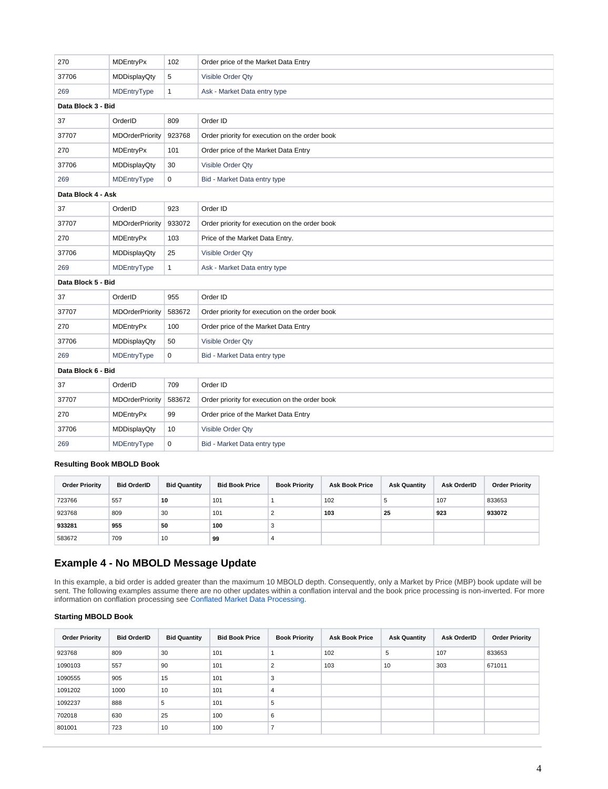| 270                | <b>MDEntryPx</b>       | 102          | Order price of the Market Data Entry           |
|--------------------|------------------------|--------------|------------------------------------------------|
| 37706              | <b>MDDisplayQty</b>    | 5            | Visible Order Qty                              |
| 269                | MDEntryType            | $\mathbf{1}$ | Ask - Market Data entry type                   |
| Data Block 3 - Bid |                        |              |                                                |
| 37                 | OrderID                | 809          | Order ID                                       |
| 37707              | <b>MDOrderPriority</b> | 923768       | Order priority for execution on the order book |
| 270                | <b>MDEntryPx</b>       | 101          | Order price of the Market Data Entry           |
| 37706              | MDDisplayQty           | 30           | Visible Order Qty                              |
| 269                | MDEntryType            | $\mathbf 0$  | Bid - Market Data entry type                   |
| Data Block 4 - Ask |                        |              |                                                |
| 37                 | OrderID                | 923          | Order ID                                       |
| 37707              | <b>MDOrderPriority</b> | 933072       | Order priority for execution on the order book |
| 270                | <b>MDEntryPx</b>       | 103          | Price of the Market Data Entry.                |
| 37706              | <b>MDDisplayQty</b>    | 25           | Visible Order Qty                              |
| 269                | MDEntryType            | $\mathbf{1}$ | Ask - Market Data entry type                   |
| Data Block 5 - Bid |                        |              |                                                |
| 37                 | OrderID                | 955          | Order ID                                       |
| 37707              | <b>MDOrderPriority</b> | 583672       | Order priority for execution on the order book |
| 270                | <b>MDEntryPx</b>       | 100          | Order price of the Market Data Entry           |
| 37706              | <b>MDDisplayQty</b>    | 50           | Visible Order Qty                              |
| 269                | MDEntryType            | $\mathbf 0$  | Bid - Market Data entry type                   |
| Data Block 6 - Bid |                        |              |                                                |
| 37                 | OrderID                | 709          | Order ID                                       |
| 37707              | <b>MDOrderPriority</b> | 583672       | Order priority for execution on the order book |
| 270                | <b>MDEntryPx</b>       | 99           | Order price of the Market Data Entry           |
| 37706              | <b>MDDisplayQty</b>    | 10           | Visible Order Qty                              |
| 269                | MDEntryType            | $\mathbf 0$  | Bid - Market Data entry type                   |
|                    |                        |              |                                                |

## **Resulting Book MBOLD Book**

| <b>Order Priority</b> | <b>Bid OrderID</b> | <b>Bid Quantity</b> | <b>Bid Book Price</b> | <b>Book Priority</b> | <b>Ask Book Price</b> | <b>Ask Quantity</b> | <b>Ask OrderID</b> | <b>Order Priority</b> |
|-----------------------|--------------------|---------------------|-----------------------|----------------------|-----------------------|---------------------|--------------------|-----------------------|
| 723766                | 557                | 10                  | 101                   |                      | 102                   | đ                   | 107                | 833653                |
| 923768                | 809                | 30                  | 101                   | ∼                    | 103                   | 25                  | 923                | 933072                |
| 933281                | 955                | 50                  | 100                   | з                    |                       |                     |                    |                       |
| 583672                | 709                | 10                  | 99                    |                      |                       |                     |                    |                       |

# **Example 4 - No MBOLD Message Update**

In this example, a bid order is added greater than the maximum 10 MBOLD depth. Consequently, only a Market by Price (MBP) book update will be sent. The following examples assume there are no other updates within a conflation interval and the book price processing is non-inverted. For more information on conflation processing see [Conflated Market Data Processing](#page-0-0).

## **Starting MBOLD Book**

| <b>Order Priority</b> | <b>Bid OrderID</b> | <b>Bid Quantity</b> | <b>Bid Book Price</b> | <b>Book Priority</b> | <b>Ask Book Price</b> | <b>Ask Quantity</b> | Ask OrderID | <b>Order Priority</b> |
|-----------------------|--------------------|---------------------|-----------------------|----------------------|-----------------------|---------------------|-------------|-----------------------|
| 923768                | 809                | 30                  | 101                   |                      | 102                   | 5                   | 107         | 833653                |
| 1090103               | 557                | 90                  | 101                   | $\overline{2}$       | 103                   | 10                  | 303         | 671011                |
| 1090555               | 905                | 15                  | 101                   | 3                    |                       |                     |             |                       |
| 1091202               | 1000               | 10                  | 101                   | $\overline{4}$       |                       |                     |             |                       |
| 1092237               | 888                | 5                   | 101                   | 5                    |                       |                     |             |                       |
| 702018                | 630                | 25                  | 100                   | 6                    |                       |                     |             |                       |
| 801001                | 723                | 10                  | 100                   | ⇁                    |                       |                     |             |                       |